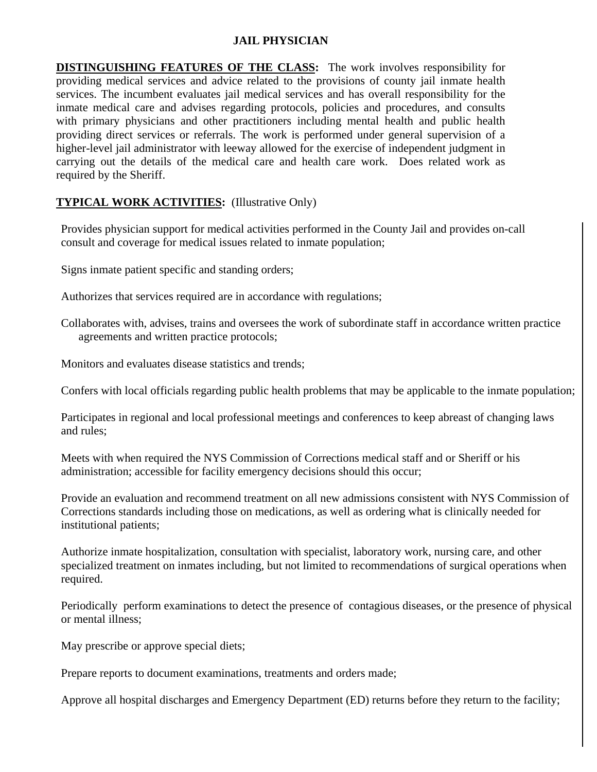## **JAIL PHYSICIAN**

**DISTINGUISHING FEATURES OF THE CLASS:** The work involves responsibility for providing medical services and advice related to the provisions of county jail inmate health services. The incumbent evaluates jail medical services and has overall responsibility for the inmate medical care and advises regarding protocols, policies and procedures, and consults with primary physicians and other practitioners including mental health and public health providing direct services or referrals. The work is performed under general supervision of a higher-level jail administrator with leeway allowed for the exercise of independent judgment in carrying out the details of the medical care and health care work. Does related work as required by the Sheriff.

## **TYPICAL WORK ACTIVITIES:** (Illustrative Only)

Provides physician support for medical activities performed in the County Jail and provides on-call consult and coverage for medical issues related to inmate population;

Signs inmate patient specific and standing orders;

Authorizes that services required are in accordance with regulations;

Collaborates with, advises, trains and oversees the work of subordinate staff in accordance written practice agreements and written practice protocols;

Monitors and evaluates disease statistics and trends;

Confers with local officials regarding public health problems that may be applicable to the inmate population;

Participates in regional and local professional meetings and conferences to keep abreast of changing laws and rules;

Meets with when required the NYS Commission of Corrections medical staff and or Sheriff or his administration; accessible for facility emergency decisions should this occur;

Provide an evaluation and recommend treatment on all new admissions consistent with NYS Commission of Corrections standards including those on medications, as well as ordering what is clinically needed for institutional patients;

Authorize inmate hospitalization, consultation with specialist, laboratory work, nursing care, and other specialized treatment on inmates including, but not limited to recommendations of surgical operations when required.

Periodically perform examinations to detect the presence of contagious diseases, or the presence of physical or mental illness;

May prescribe or approve special diets;

Prepare reports to document examinations, treatments and orders made;

Approve all hospital discharges and Emergency Department (ED) returns before they return to the facility;